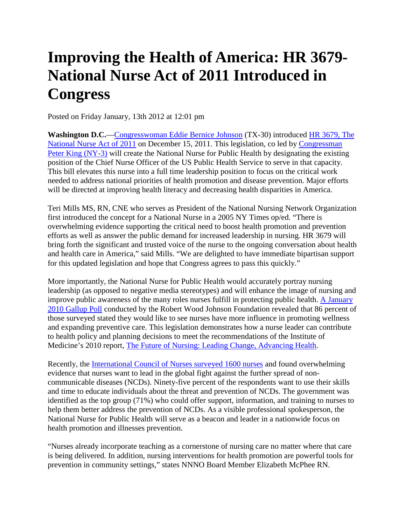## **Improving the Health of America: HR 3679- National Nurse Act of 2011 Introduced in Congress**

Posted on Friday January, 13th 2012 at 12:01 pm

**Washington D.C.**[—Congresswoman Eddie Bernice Johnson](http://ebjohnson.house.gov/index.html) (TX-30) introduced [HR 3679, The](http://thomas.loc.gov/cgi-bin/query/z?c112:H.R.3679:)  [National Nurse Act of 2011](http://thomas.loc.gov/cgi-bin/query/z?c112:H.R.3679:) on December 15, 2011. This legislation, co led by [Congressman](http://peteking.house.gov/)  [Peter King \(NY-3\)](http://peteking.house.gov/) will create the National Nurse for Public Health by designating the existing position of the Chief Nurse Officer of the US Public Health Service to serve in that capacity. This bill elevates this nurse into a full time leadership position to focus on the critical work needed to address national priorities of health promotion and disease prevention. Major efforts will be directed at improving health literacy and decreasing health disparities in America.

Teri Mills MS, RN, CNE who serves as President of the National Nursing Network Organization first introduced the concept for a National Nurse in a 2005 NY Times op/ed. "There is overwhelming evidence supporting the critical need to boost health promotion and prevention efforts as well as answer the public demand for increased leadership in nursing. HR 3679 will bring forth the significant and trusted voice of the nurse to the ongoing conversation about health and health care in America," said Mills. "We are delighted to have immediate bipartisan support for this updated legislation and hope that Congress agrees to pass this quickly."

More importantly, the National Nurse for Public Health would accurately portray nursing leadership (as opposed to negative media stereotypes) and will enhance the image of nursing and improve public awareness of the many roles nurses fulfill in protecting public health. [A January](http://www.rwjf.org/pr/product.jsp?id=54350)  [2010 Gallup Poll](http://www.rwjf.org/pr/product.jsp?id=54350) conducted by the Robert Wood Johnson Foundation revealed that 86 percent of those surveyed stated they would like to see nurses have more influence in promoting wellness and expanding preventive care. This legislation demonstrates how a nurse leader can contribute to health policy and planning decisions to meet the recommendations of the Institute of Medicine's 2010 report, [The Future of Nursing: Leading Change,](http://www.iom.edu/Reports/2010/The-Future-of-Nursing-Leading-Change-Advancing-Health.aspx) Advancing Health.

Recently, the *International Council of Nurses surveyed 1600 nurses* and found overwhelming evidence that nurses want to lead in the global fight against the further spread of noncommunicable diseases (NCDs). Ninety-five percent of the respondents want to use their skills and time to educate individuals about the threat and prevention of NCDs. The government was identified as the top group (71%) who could offer support, information, and training to nurses to help them better address the prevention of NCDs. As a visible professional spokesperson, the National Nurse for Public Health will serve as a beacon and leader in a nationwide focus on health promotion and illnesses prevention.

"Nurses already incorporate teaching as a cornerstone of nursing care no matter where that care is being delivered. In addition, nursing interventions for health promotion are powerful tools for prevention in community settings," states NNNO Board Member Elizabeth McPhee RN.